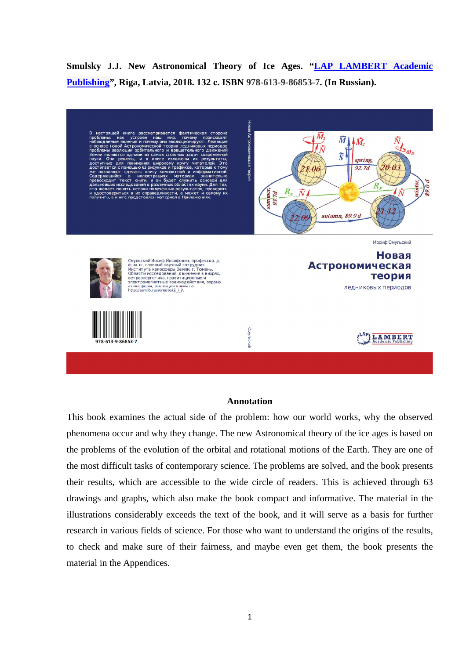**Smulsky J.J. New Astronomical Theory of Ice Ages. "LAP LAMBERT Academic Publishing", Riga, Latvia, 2018. 132 с. ISBN 978-613-9-86853-7. (In Russian).** 

рассматривается фактич **Астроном**  $\boldsymbol{\bar{M}}$  $\bar{M}$ ...<br>19 и по  $\bar{\bm{S}}$ spring,  $92.7d$  $\partial \theta$  $\boldsymbol{R}_{\textit{D}}$  $R_a$  $\bar{N}$ autumn, 89.9 d Иосиф Смульский Новая Смульский Иосиф Иосифович, профессор, д. Смульский иосиф иосифович, профессор, д.<br>Ф.-м. н., главный научный сотрудник<br>Института криосферы Земли, г. Тюмень.<br>Области иследований: движения в вихрях,<br>остроиститные взаимодействия, охрана<br>электромагнитные взаимодейств **Астрономическая** теория ледниковых периодов Смульский LAMBERT

## **Annotation**

This book examines the actual side of the problem: how our world works, why the observed phenomena occur and why they change. The new Astronomical theory of the ice ages is based on the problems of the evolution of the orbital and rotational motions of the Earth. They are one of the most difficult tasks of contemporary science. The problems are solved, and the book presents their results, which are accessible to the wide circle of readers. This is achieved through 63 drawings and graphs, which also make the book compact and informative. The material in the illustrations considerably exceeds the text of the book, and it will serve as a basis for further research in various fields of science. For those who want to understand the origins of the results, to check and make sure of their fairness, and maybe even get them, the book presents the material in the Appendices.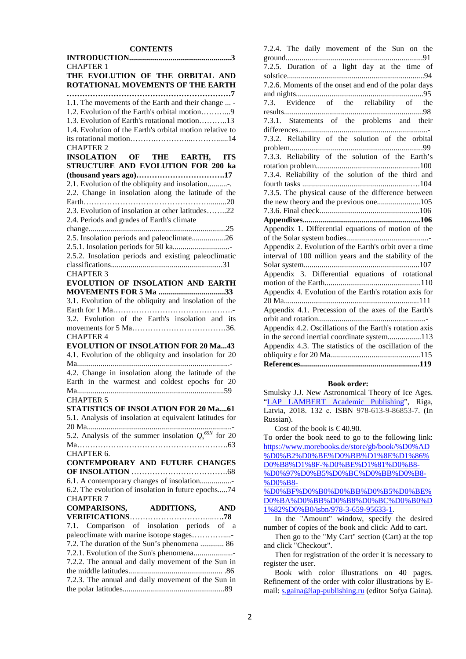## **CONTENTS INTRODUCTION**

| <b>CHAPTER 1</b>                                                        |
|-------------------------------------------------------------------------|
| THE EVOLUTION OF THE ORBITAL AND                                        |
| ROTATIONAL MOVEMENTS OF THE EARTH                                       |
|                                                                         |
| 1.1. The movements of the Earth and their change  -                     |
| 1.2. Evolution of the Earth's orbital motion9                           |
| 1.3. Evolution of Earth's rotational motion13                           |
| 1.4. Evolution of the Earth's orbital motion relative to                |
|                                                                         |
|                                                                         |
| <b>CHAPTER 2</b>                                                        |
| INSOLATION OF THE EARTH, ITS                                            |
| STRUCTURE AND EVOLUTION FOR 200 ka                                      |
|                                                                         |
| 2.1. Evolution of the obliquity and insolation                          |
| 2.2. Change in insolation along the latitude of the                     |
|                                                                         |
| 2.3. Evolution of insolation at other latitudes22                       |
| 2.4. Periods and grades of Earth's climate                              |
|                                                                         |
| 2.5. Insolation periods and paleoclimate26                              |
|                                                                         |
| 2.5.2. Insolation periods and existing paleoclimatic                    |
|                                                                         |
| <b>CHAPTER 3</b>                                                        |
| EVOLUTION OF INSOLATION AND EARTH                                       |
|                                                                         |
| 3.1. Evolution of the obliquity and insolation of the                   |
|                                                                         |
| 3.2. Evolution of the Earth's insolation and its                        |
|                                                                         |
| <b>CHAPTER 4</b>                                                        |
| <b>EVOLUTION OF INSOLATION FOR 20 Ma43</b>                              |
|                                                                         |
|                                                                         |
| 4.1. Evolution of the obliquity and insolation for 20                   |
| Ma<br>.                                                                 |
| 4.2. Change in insolation along the latitude of the                     |
| Earth in the warmest and coldest epochs for 20                          |
| Ma                                                                      |
| <b>CHAPTER 5</b>                                                        |
| STATISTICS OF INSOLATION FOR 20 Ma61                                    |
| 5.1. Analysis of insolation at equivalent latitudes for                 |
|                                                                         |
| 5.2. Analysis of the summer insolation $Q_s^{65N}$ for 20               |
|                                                                         |
| CHAPTER 6.                                                              |
|                                                                         |
| CONTEMPORARY AND FUTURE CHANGES                                         |
|                                                                         |
| 6.1. A contemporary changes of insolation                               |
| 6.2. The evolution of insolation in future epochs74<br><b>CHAPTER 7</b> |
|                                                                         |
| COMPARISONS, ADDITIONS, AND                                             |
|                                                                         |
| 7.1. Comparison of insolation periods of a                              |
| paleoclimate with marine isotope stages                                 |
| 7.2. The duration of the Sun's phenomena  86                            |
| 7.2.1. Evolution of the Sun's phenomena                                 |
| 7.2.2. The annual and daily movement of the Sun in                      |
|                                                                         |
| 7.2.3. The annual and daily movement of the Sun in                      |

| 7.2.4. The daily movement of the Sun on the             |
|---------------------------------------------------------|
| 91                                                      |
| 7.2.5. Duration of a light day at the time of           |
|                                                         |
| 7.2.6. Moments of the onset and end of the polar days   |
|                                                         |
| 7.3. Evidence of the reliability of the                 |
|                                                         |
| 7.3.1. Statements of the problems and their             |
|                                                         |
| 7.3.2. Reliability of the solution of the orbital       |
|                                                         |
| 7.3.3. Reliability of the solution of the Earth's       |
|                                                         |
| 7.3.4. Reliability of the solution of the third and     |
|                                                         |
| 7.3.5. The physical cause of the difference between     |
| the new theory and the previous one105                  |
|                                                         |
|                                                         |
| Appendix 1. Differential equations of motion of the     |
|                                                         |
| Appendix 2. Evolution of the Earth's orbit over a time  |
| interval of 100 million years and the stability of the  |
|                                                         |
| Appendix 3. Differential equations of rotational        |
|                                                         |
| Appendix 4. Evolution of the Earth's rotation axis for  |
|                                                         |
| Appendix 4.1. Precession of the axes of the Earth's     |
|                                                         |
| Appendix 4.2. Oscillations of the Earth's rotation axis |
| in the second inertial coordinate system113             |
| Appendix 4.3. The statistics of the oscillation of the  |
|                                                         |
|                                                         |

## **Book order:**

Smulsky J.J. New Astronomical Theory of Ice Ages. "LAP LAMBERT Academic Publishing", Riga, Latvia, 2018. 132 с. ISBN 978-613-9-86853-7. (In Russian).

Cost of the book is  $\in$  40.90.

To order the book need to go to the following link: https://www.morebooks.de/store/gb/book/%D0%AD %D0%B2%D0%BE%D0%BB%D1%8E%D1%86% D0%B8%D1%8F-%D0%BE%D1%81%D0%B8- %D0%97%D0%B5%D0%BC%D0%BB%D0%B8- %D0%B8-

%D0%BF%D0%B0%D0%BB%D0%B5%D0%BE% D0%BA%D0%BB%D0%B8%D0%BC%D0%B0%D 1%82%D0%B0/isbn/978-3-659-95633-1.

In the "Amount" window, specify the desired number of copies of the book and click: Add to cart.

Then go to the "My Cart" section (Cart) at the top and click "Checkout".

Then for registration of the order it is necessary to register the user.

Book with color illustrations on 40 pages. Refinement of the order with color illustrations by Email: s.gaina@lap-publishing.ru (editor Sofya Gaina).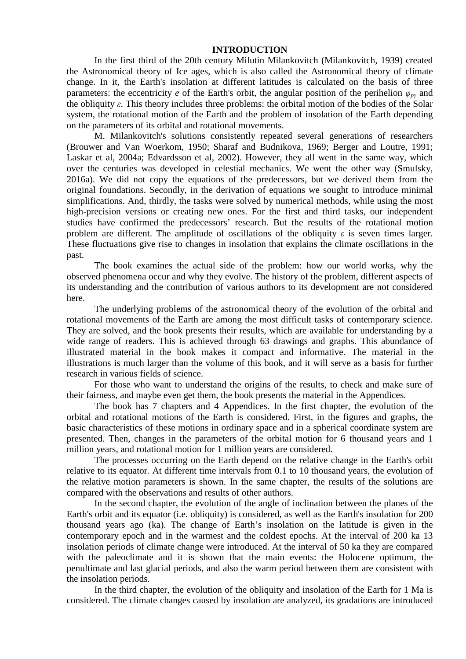## **INTRODUCTION**

In the first third of the 20th century Milutin Milankovitch (Milankovitch, 1939) created the Astronomical theory of Ice ages, which is also called the Astronomical theory of climate change. In it, the Earth's insolation at different latitudes is calculated on the basis of three parameters: the eccentricity *e* of the Earth's orbit, the angular position of the perihelion  $\varphi_{pv}$  and the obliquity *ε*. This theory includes three problems: the orbital motion of the bodies of the Solar system, the rotational motion of the Earth and the problem of insolation of the Earth depending on the parameters of its orbital and rotational movements.

M. Milankovitch's solutions consistently repeated several generations of researchers (Brouwer and Van Woerkom, 1950; Sharaf and Budnikova, 1969; Berger and Loutre, 1991; Laskar et al, 2004a; Edvardsson et al, 2002). However, they all went in the same way, which over the centuries was developed in celestial mechanics. We went the other way (Smulsky, 2016a). We did not copy the equations of the predecessors, but we derived them from the original foundations. Secondly, in the derivation of equations we sought to introduce minimal simplifications. And, thirdly, the tasks were solved by numerical methods, while using the most high-precision versions or creating new ones. For the first and third tasks, our independent studies have confirmed the predecessors' research. But the results of the rotational motion problem are different. The amplitude of oscillations of the obliquity *ε* is seven times larger. These fluctuations give rise to changes in insolation that explains the climate oscillations in the past.

The book examines the actual side of the problem: how our world works, why the observed phenomena occur and why they evolve. The history of the problem, different aspects of its understanding and the contribution of various authors to its development are not considered here.

The underlying problems of the astronomical theory of the evolution of the orbital and rotational movements of the Earth are among the most difficult tasks of contemporary science. They are solved, and the book presents their results, which are available for understanding by a wide range of readers. This is achieved through 63 drawings and graphs. This abundance of illustrated material in the book makes it compact and informative. The material in the illustrations is much larger than the volume of this book, and it will serve as a basis for further research in various fields of science.

For those who want to understand the origins of the results, to check and make sure of their fairness, and maybe even get them, the book presents the material in the Appendices.

The book has 7 chapters and 4 Appendices. In the first chapter, the evolution of the orbital and rotational motions of the Earth is considered. First, in the figures and graphs, the basic characteristics of these motions in ordinary space and in a spherical coordinate system are presented. Then, changes in the parameters of the orbital motion for 6 thousand years and 1 million years, and rotational motion for 1 million years are considered.

The processes occurring on the Earth depend on the relative change in the Earth's orbit relative to its equator. At different time intervals from 0.1 to 10 thousand years, the evolution of the relative motion parameters is shown. In the same chapter, the results of the solutions are compared with the observations and results of other authors.

In the second chapter, the evolution of the angle of inclination between the planes of the Earth's orbit and its equator (i.e. obliquity) is considered, as well as the Earth's insolation for 200 thousand years ago (ka). The change of Earth's insolation on the latitude is given in the contemporary epoch and in the warmest and the coldest epochs. At the interval of 200 ka 13 insolation periods of climate change were introduced. At the interval of 50 ka they are compared with the paleoclimate and it is shown that the main events: the Holocene optimum, the penultimate and last glacial periods, and also the warm period between them are consistent with the insolation periods.

In the third chapter, the evolution of the obliquity and insolation of the Earth for 1 Ma is considered. The climate changes caused by insolation are analyzed, its gradations are introduced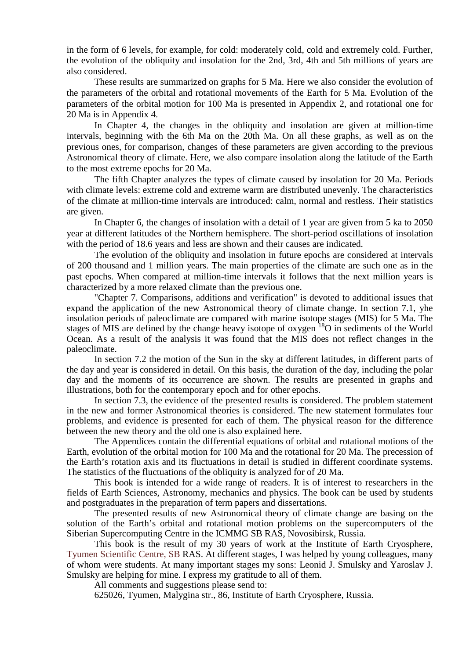in the form of 6 levels, for example, for cold: moderately cold, cold and extremely cold. Further, the evolution of the obliquity and insolation for the 2nd, 3rd, 4th and 5th millions of years are also considered.

These results are summarized on graphs for 5 Ma. Here we also consider the evolution of the parameters of the orbital and rotational movements of the Earth for 5 Ma. Evolution of the parameters of the orbital motion for 100 Ma is presented in Appendix 2, and rotational one for 20 Ma is in Appendix 4.

In Chapter 4, the changes in the obliquity and insolation are given at million-time intervals, beginning with the 6th Ma on the 20th Ma. On all these graphs, as well as on the previous ones, for comparison, changes of these parameters are given according to the previous Astronomical theory of climate. Here, we also compare insolation along the latitude of the Earth to the most extreme epochs for 20 Ma.

The fifth Chapter analyzes the types of climate caused by insolation for 20 Ma. Periods with climate levels: extreme cold and extreme warm are distributed unevenly. The characteristics of the climate at million-time intervals are introduced: calm, normal and restless. Their statistics are given.

In Chapter 6, the changes of insolation with a detail of 1 year are given from 5 ka to 2050 year at different latitudes of the Northern hemisphere. The short-period oscillations of insolation with the period of 18.6 years and less are shown and their causes are indicated.

The evolution of the obliquity and insolation in future epochs are considered at intervals of 200 thousand and 1 million years. The main properties of the climate are such one as in the past epochs. When compared at million-time intervals it follows that the next million years is characterized by a more relaxed climate than the previous one.

"Chapter 7. Comparisons, additions and verification" is devoted to additional issues that expand the application of the new Astronomical theory of climate change. In section 7.1, yhe insolation periods of paleoclimate are compared with marine isotope stages (MIS) for 5 Ma. The stages of MIS are defined by the change heavy isotope of oxygen <sup>18</sup>O in sediments of the World Ocean. As a result of the analysis it was found that the MIS does not reflect changes in the paleoclimate.

In section 7.2 the motion of the Sun in the sky at different latitudes, in different parts of the day and year is considered in detail. On this basis, the duration of the day, including the polar day and the moments of its occurrence are shown. The results are presented in graphs and illustrations, both for the contemporary epoch and for other epochs.

In section 7.3, the evidence of the presented results is considered. The problem statement in the new and former Astronomical theories is considered. The new statement formulates four problems, and evidence is presented for each of them. The physical reason for the difference between the new theory and the old one is also explained here.

The Appendices contain the differential equations of orbital and rotational motions of the Earth, evolution of the orbital motion for 100 Ma and the rotational for 20 Ma. The precession of the Earth's rotation axis and its fluctuations in detail is studied in different coordinate systems. The statistics of the fluctuations of the obliquity is analyzed for of 20 Ma.

This book is intended for a wide range of readers. It is of interest to researchers in the fields of Earth Sciences, Astronomy, mechanics and physics. The book can be used by students and postgraduates in the preparation of term papers and dissertations.

The presented results of new Astronomical theory of climate change are basing on the solution of the Earth's orbital and rotational motion problems on the supercomputers of the Siberian Supercomputing Centre in the ICMMG SB RAS, Novosibirsk, Russia.

This book is the result of my 30 years of work at the Institute of Earth Cryosphere, Tyumen Scientific Centre, SB RAS. At different stages, I was helped by young colleagues, many of whom were students. At many important stages my sons: Leonid J. Smulsky and Yaroslav J. Smulsky are helping for mine. I express my gratitude to all of them.

All comments and suggestions please send to:

625026, Tyumen, Malygina str., 86, Institute of Earth Cryosphere, Russia.